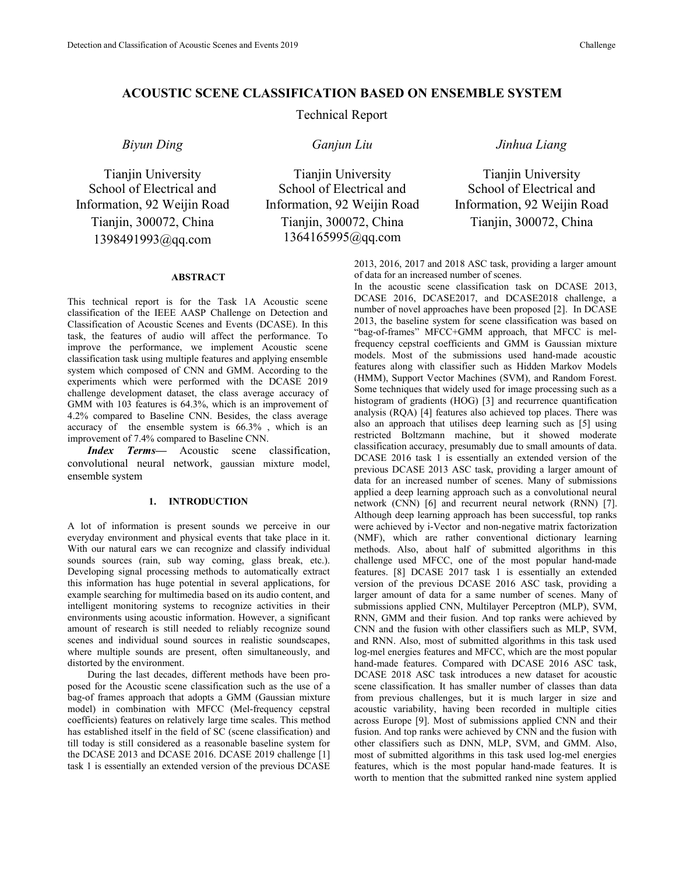# **ACOUSTIC SCENE CLASSIFICATION BASED ON ENSEMBLE SYSTEM**

# Technical Report

Tianjin University School of Electrical and Information, 92 Weijin Road Tianjin, 300072, China 1398491993@qq.com

Tianjin University School of Electrical and Information, 92 Weijin Road Tianjin, 300072, China 1364165995@qq.com

# *Biyun Ding Ganjun Liu Jinhua Liang*

Tianjin University School of Electrical and Information, 92 Weijin Road Tianjin, 300072, China

### **ABSTRACT**

This technical report is for the Task 1A Acoustic scene classification of the IEEE AASP Challenge on Detection and Classification of Acoustic Scenes and Events (DCASE). In this task, the features of audio will affect the performance. To improve the performance, we implement Acoustic scene classification task using multiple features and applying ensemble system which composed of CNN and GMM. According to the experiments which were performed with the DCASE 2019 challenge development dataset, the class average accuracy of GMM with 103 features is 64.3%, which is an improvement of 4.2% compared to Baseline CNN. Besides, the class average accuracy of the ensemble system is 66.3% , which is an improvement of 7.4% compared to Baseline CNN.

*Index Terms—* Acoustic scene classification, convolutional neural network, gaussian mixture model,ensemble system

## **1. INTRODUCTION**

A lot of information is present sounds we perceive in our everyday environment and physical events that take place in it. With our natural ears we can recognize and classify individual methods. Also, about half of submitted algorithms in this sounds sources (rain, sub way coming, glass break, etc.). Developing signal processing methods to automatically extract this information has huge potential in several applications, for example searching for multimedia based on its audio content, and intelligent monitoring systems to recognize activities in their environments using acoustic information. However, a significant amount of research is still needed to reliably recognize sound scenes and individual sound sources in realistic soundscapes, where multiple sounds are present, often simultaneously, and distorted by the environment.

During the last decades, different methods have been pro posed for the Acoustic scene classification such as the use of a bag-of frames approach that adopts a GMM (Gaussian mixture model) in combination with MFCC (Mel-frequency cepstral coefficients) features on relatively large time scales. This method has established itself in the field of SC (scene classification) and till today is still considered as a reasonable baseline system for the DCASE 2013 and DCASE 2016. DCASE 2019 challenge [1] task 1 is essentially an extended version of the previous DCASE 2013, 2016, 2017 and 2018 ASC task, providing a larger amount of data for an increased number of scenes.

In the acoustic scene classification task on DCASE 2013, DCASE 2016, DCASE2017, and DCASE2018 challenge, a number of novel approaches have been proposed [2]. In DCASE 2013, the baseline system for scene classification was based on "bag-of-frames" MFCC+GMM approach, that MFCC is melfrequency cepstral coefficients and GMM is Gaussian mixture models. Most of the submissions used hand-made acoustic features along with classifier such as Hidden Markov Models (HMM), Support Vector Machines (SVM), and Random Forest. Some techniques that widely used for image processing such as a histogram of gradients (HOG) [3] and recurrence quantification analysis (RQA) [4] features also achieved top places.There was also an approach that utilises deep learning such as [5] using restricted Boltzmann machine, but it showed moderate classification accuracy, presumably due to small amounts of data. DCASE 2016 task 1 is essentially an extended version of the previous DCASE 2013 ASC task, providing a larger amount of data for an increased number of scenes. Many of submissions applied a deep learning approach such as a convolutional neural network (CNN) [6] and recurrent neural network (RNN) [7]. Although deep learning approach has been successful, top ranks were achieved by i-Vector and non-negative matrix factorization (NMF), which are rather conventional dictionary learning challenge used MFCC, one of the most popular hand-made features. [8] DCASE 2017 task 1 is essentially an extended version of the previous DCASE 2016 ASC task, providing a larger amount of data for a same number of scenes. Many of submissions applied CNN, Multilayer Perceptron (MLP), SVM, RNN, GMM and their fusion. And top ranks were achieved by CNN and the fusion with other classifiers such as MLP, SVM, and RNN. Also, most of submitted algorithms in this task used log-mel energies features and MFCC, which are the most popular hand-made features. Compared with DCASE 2016 ASC task, DCASE 2018 ASC task introduces a new dataset for acoustic scene classification. It has smaller number of classes than data from previous challenges, but it is much larger in size and acoustic variability, having been recorded in multiple cities across Europe [9]. Most of submissions applied CNN and their fusion. And top ranks were achieved by CNN and the fusion with other classifiers such as DNN, MLP, SVM, and GMM. Also, most of submitted algorithms in this task used log-mel energies features, which is the most popular hand-made features. It is worth to mention that the submitted ranked nine system applied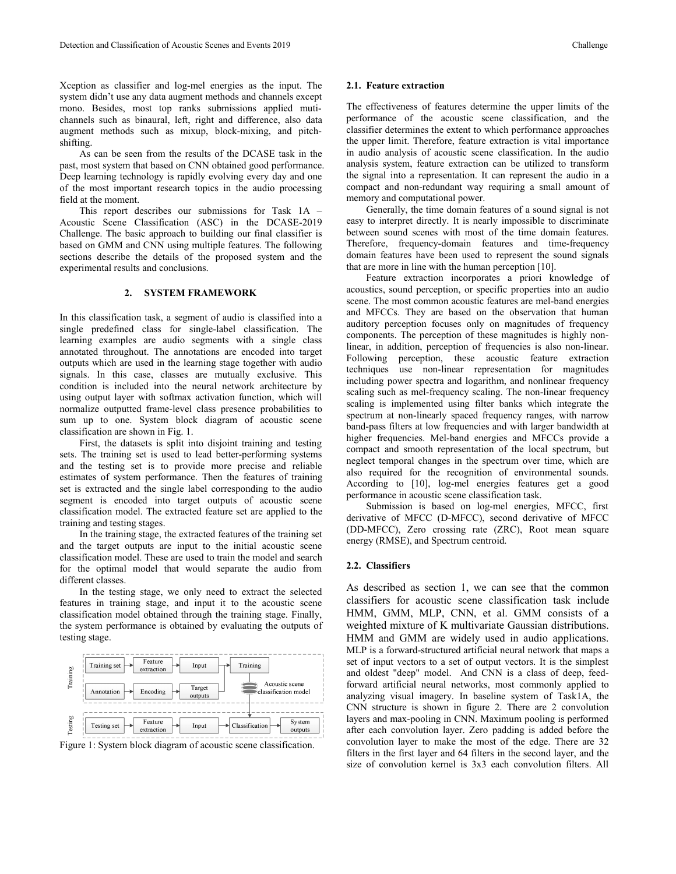Xception as classifier and log-mel energies as the input. The system didn't use any data augment methods and channels except mono. Besides, most top ranks submissions applied muti channels such as binaural, left, right and difference, also data augment methods such as mixup, block-mixing, and pitch shifting.

As can be seen from the results of the DCASE task in the past, most system that based on CNN obtained good performance. Deep learning technology is rapidly evolving every day and one of the most important research topics in the audio processing field at the moment.

This report describes our submissions for Task 1A – Acoustic Scene Classification (ASC) in the DCASE-2019 Challenge. The basic approach to building our final classifier is based on GMM and CNN using multiple features.The following sections describe the details of the proposed system and the experimental results and conclusions.

## **2. SYSTEM FRAMEWORK**

In this classification task, a segment of audio is classified into a single predefined class for single-label classification. The learning examples are audio segments with a single class components. The perception of these magnitudes is highly hou-<br>example of the constant of the constitution are speed of the tensor. In addition, perception of frequen annotated throughout. The annotations are encoded into target outputs which are used in the learning stage together with audio signals. In this case, classes are mutually exclusive. This condition is included into the neural network architecture by using output layer with softmax activation function, which will normalize outputted frame-level class presence probabilities to sum up to one. System block diagram of acoustic scene classification are shown in Fig. 1.

First, the datasets is split into disjoint training and testing sets. The training set is used to lead better-performing systems and the testing set is to provide more precise and reliable estimates of system performance. Then the features of training set is extracted and the single label corresponding to the audio segment is encoded into target outputs of acoustic scene classification model. The extracted feature set are applied to the training and testing stages.

In the training stage, the extracted features of the training set and the target outputs are input to the initial acoustic scene classification model. These are used to train the model and search for the optimal model that would separate the audio from different classes.

In the testing stage, we only need to extract the selected features in training stage, and input it to the acoustic scene classification model obtained through the training stage. Finally, the system performance is obtained by evaluating the outputs of testing stage.



Figure 1: System block diagram of acoustic scene classification.

### **2.1. Feature extraction**

The effectiveness of features determine the upper limits of the performance of the acoustic scene classification, and the classifier determines the extent to which performance approaches the upper limit. Therefore, feature extraction is vital importance in audio analysis of acoustic scene classification. In the audio analysis system, feature extraction can be utilized to transform the signal into a representation. It can represent the audio in a compact and non-redundant way requiring a small amount of memory and computational power.

Generally, the time domain features of a sound signal is not easy to interpret directly. It is nearly impossible to discriminate between sound scenes with most of the time domain features. Therefore, frequency-domain features and time-frequency domain features have been used to represent the sound signals that are more in line with the human perception [10].

Feature extraction incorporates a priori knowledge of acoustics, sound perception, or specific properties into an audio scene. The most common acoustic features are mel-band energies and MFCCs. They are based on the observation that human auditory perception focuses only on magnitudes of frequency components. The perception of these magnitudes is highly non-Following perception, these acoustic feature extraction techniques use non-linear representation for magnitudes including power spectra and logarithm, and nonlinear frequency scaling such as mel-frequency scaling. The non-linear frequency scaling is implemented using filter banks which integrate the spectrum at non-linearly spaced frequency ranges, with narrow band-pass filters at low frequencies and with larger bandwidth at higher frequencies. Mel-band energies and MFCCs provide a compact and smooth representation of the local spectrum, but neglect temporal changes in the spectrum over time, which are also required for the recognition of environmental sounds. According to [10], log-mel energies features get a good performance in acoustic scene classification task.

Submission is based on log-mel energies, MFCC, first derivative of MFCC (D-MFCC), second derivative of MFCC (DD-MFCC), Zero crossing rate (ZRC), Root mean square energy (RMSE), and Spectrum centroid.

# **2.2. Classifiers**

As described as section 1, we can see that the common classifiers for acoustic scene classification task include HMM, GMM, MLP, CNN, et al. GMM consists of a weighted mixture of K multivariate Gaussian distributions. HMM and GMM are widely used in audio applications. MLP is a forward-structured artificial neural network that maps a set of input vectors to a set of output vectors. It is the simplest and oldest "deep" model. And CNN is a class of deep, feedforward artificial neural networks, most commonly applied to analyzing visual imagery. In baseline system of Task1A, the CNN structure is shown in figure 2. There are 2 convolution layers and max-pooling in CNN. Maximum pooling is performed after each convolution layer. Zero padding is added before the convolution layer to make the most of the edge. There are 32 filters in the first layer and 64 filters in the second layer, and the size of convolution kernel is 3x3 each convolution filters. All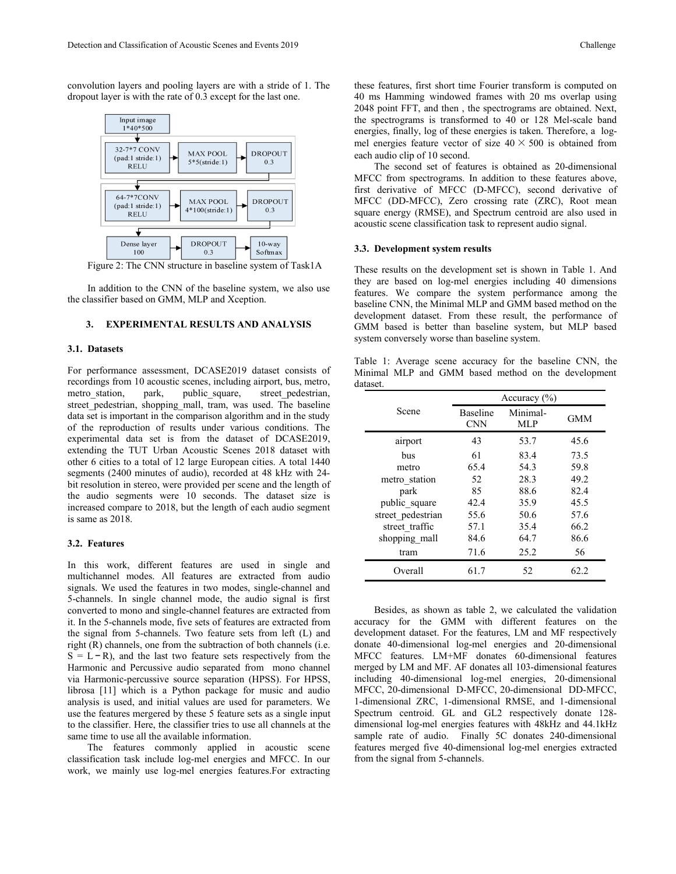convolution layers and pooling layers are with a stride of 1. The dropout layer is with the rate of 0.3 except for the last one.



Figure 2: The CNN structure in baseline system of Task1A

In addition to the CNN of the baseline system, we also use the classifier based on GMM, MLP and Xception.

## **3. EXPERIMENTAL RESULTS AND ANALYSIS**

### **3.1. Datasets**

For performance assessment, DCASE2019 dataset consists of recordings from 10 acoustic scenes, including airport, bus, metro, metro\_station, park, public\_square, street\_pedestrian, street pedestrian, shopping mall, tram, was used. The baseline data set is important in the comparison algorithm and in the study of the reproduction of results under various conditions. The experimental data set is from the dataset of DCASE2019, extending the TUT Urban Acoustic Scenes 2018 dataset with other 6 cities to a total of 12 large European cities. A total 1440 segments (2400 minutes of audio), recorded at 48 kHz with 24 bit resolution in stereo, were provided per scene and the length of the audio segments were 10 seconds. The dataset size is increased compare to 2018, but the length of each audio segment is same as  $2018$ .

### **3.2. Features**

In this work, different features are used in single and multichannel modes. All features are extracted from audio signals. We used the features in two modes, single-channel and 5-channels. In single channel mode, the audio signal is first converted to mono and single-channel features are extracted from it. In the 5-channels mode, five sets of features are extracted from the signal from 5-channels. Two feature sets from left (L) and right (R) channels, one from the subtraction of both channels (i.e.  $S = L - R$ ), and the last two feature sets respectively from the Harmonic and Percussive audio separated from mono channel via Harmonic-percussive source separation (HPSS). For HPSS, librosa [11] which is a Python package for music and audio analysis is used, and initial values are used for parameters. We use the features mergered by these 5 feature sets as a single input to the classifier. Here, the classifier tries to use all channels at the same time to use all the available information.

The features commonly applied in acoustic scene classification task include log-mel energies and MFCC. In our work, we mainly use log-mel energies features.For extracting these features, first short time Fourier transform is computed on 40 ms Hamming windowed frames with 20 ms overlap using 2048 point FFT, and then , the spectrograms are obtained. Next, the spectrograms is transformed to 40 or 128 Mel-scale band energies, finally, log of these energies is taken. Therefore, a logmel energies feature vector of size  $40 \times 500$  is obtained from each audio clip of 10 second.

The second set of features is obtained as 20-dimensional MFCC from spectrograms. In addition to these features above, first derivative of MFCC (D-MFCC), second derivative of MFCC (DD-MFCC), Zero crossing rate (ZRC), Root mean square energy (RMSE), and Spectrum centroid are also used in acoustic scene classification task to represent audio signal.

#### **3.3. Development system results**

These results on the development set is shown in Table 1. And they are based on log-mel energies including 40 dimensions features. We compare the system performance among the baseline CNN, the Minimal MLP and GMM based method on the development dataset. From these result, the performance of GMM based is better than baseline system, but MLP based system conversely worse than baseline system.

|          |  |  |  | Table 1: Average scene accuracy for the baseline CNN, the |  |
|----------|--|--|--|-----------------------------------------------------------|--|
|          |  |  |  | Minimal MLP and GMM based method on the development       |  |
| dataset. |  |  |  |                                                           |  |

|                   |                               | Accuracy $(\% )$       |            |
|-------------------|-------------------------------|------------------------|------------|
| Scene             | <b>Baseline</b><br><b>CNN</b> | Minimal-<br><b>MLP</b> | <b>GMM</b> |
| airport           | 43                            | 53.7                   | 45.6       |
| bus               | 61                            | 83.4                   | 73.5       |
| metro             | 65.4                          | 54.3                   | 59.8       |
| metro_station     | 52                            | 28.3                   | 49.2       |
| park              | 85                            | 88.6                   | 82.4       |
| public square     | 42.4                          | 35.9                   | 45.5       |
| street pedestrian | 55.6                          | 50.6                   | 57.6       |
| street traffic    | 57.1                          | 35.4                   | 66.2       |
| shopping mall     | 84.6                          | 64.7                   | 86.6       |
| tram              | 71.6                          | 25.2                   | 56         |
| Overall           | 61.7                          | 52                     | 62.2       |

Besides, as shown as table 2, we calculated the validation accuracy for the GMM with different features on the development dataset. For the features, LM and MF respectively donate 40-dimensional log-mel energies and 20-dimensional MFCC features. LM+MF donates 60-dimensional features merged by LM and MF. AF donates all 103-dimensional features including 40-dimensional log-mel energies, 20-dimensional MFCC, 20-dimensional D-MFCC, 20-dimensional DD-MFCC, 1-dimensional ZRC, 1-dimensional RMSE, and 1-dimensional Spectrum centroid. GL and GL2 respectively donate 128dimensional log-mel energies features with 48kHz and 44.1kHz sample rate of audio. Finally 5C donates 240-dimensional features merged five 40-dimensional log-mel energies extracted from the signal from 5-channels.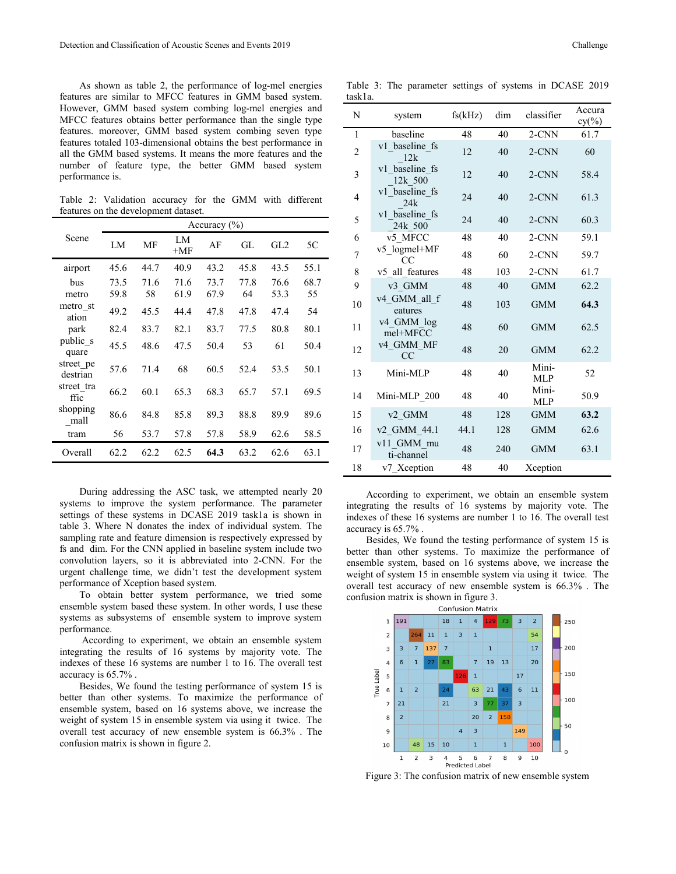As shown as table 2, the performance of log-mel energies features are similar to MFCC features in GMM based system. However, GMM based system combing log-mel energies and MFCC features obtains better performance than the single type features. moreover, GMM based system combing seven type features totaled 103-dimensional obtains the best performance in all the GMM based systems. It means the more features and the number of feature type, the better GMM based system performance is.

Table 2: Validation accuracy for the GMM with different features on the development dataset.

|                       |      |      |             | Accuracy $(\% )$ |      |      |      | J                   | 24k 500                            |
|-----------------------|------|------|-------------|------------------|------|------|------|---------------------|------------------------------------|
| Scene                 | LM   | MF   | LM<br>$+MF$ | AF               | GL   | GL2  | 5C   | 6<br>$\overline{7}$ | v5 MFCC<br>v5 logmel+MF            |
| airport               | 45.6 | 44.7 | 40.9        | 43.2             | 45.8 | 43.5 | 55.1 | 8                   | <sub>CC</sub><br>v5 all features   |
| bus                   | 73.5 | 71.6 | 71.6        | 73.7             | 77.8 | 76.6 | 68.7 | 9                   | v3 GMM                             |
| metro                 | 59.8 | 58   | 61.9        | 67.9             | 64   | 53.3 | 55   |                     | v4 GMM all f                       |
| metro st<br>ation     | 49.2 | 45.5 | 44.4        | 47.8             | 47.8 | 47.4 | 54   | 10                  | eatures                            |
| park                  | 82.4 | 83.7 | 82.1        | 83.7             | 77.5 | 80.8 | 80.1 | 11                  | v <sub>4</sub> GMM log<br>mel+MFCC |
| public s<br>quare     | 45.5 | 48.6 | 47.5        | 50.4             | 53   | 61   | 50.4 | 12                  | v4 GMM MF<br>CC                    |
| street pe<br>destrian | 57.6 | 71.4 | 68          | 60.5             | 52.4 | 53.5 | 50.1 | 13                  | Mini-MLP                           |
| street tra<br>ffic    | 66.2 | 60.1 | 65.3        | 68.3             | 65.7 | 57.1 | 69.5 | 14                  | Mini-MLP 200                       |
| shopping<br>mall      | 86.6 | 84.8 | 85.8        | 89.3             | 88.8 | 89.9 | 89.6 | 15                  | v2 GMM                             |
| tram                  | 56   | 53.7 | 57.8        | 57.8             | 58.9 | 62.6 | 58.5 | 16                  | v2 GMM 44.1                        |
| Overall               | 62.2 | 62.2 | 62.5        | 64.3             | 63.2 | 62.6 | 63.1 | 17                  | v11 GMM mu<br>ti-channel           |

During addressing the ASC task, we attempted nearly 20 systems to improve the system performance. The parameter settings of these systems in DCASE 2019 task1a is shown in table 3. Where N donates the index of individual system. The sampling rate and feature dimension is respectively expressed by fs and dim. For the CNN applied in baseline system include two convolution layers, so it is abbreviated into 2-CNN. For the urgent challenge time, we didn't test the development system performance of Xception based system.

To obtain better system performance, we tried some ensemble system based these system. In other words, I use these systems as subsystems of ensemble system to improve system  $\frac{1}{1}$ performance.

 $\frac{2}{\text{Accoding}}$  to experiment, we obtain an ensemble system  $\frac{2}{3}$   $\frac{264}{3}$   $\frac{11}{7}$   $\frac{1}{137}$   $\frac{3}{7}$ integrating the results of 16 systems by majority vote. The indexes of these 16 systems are number 1 to 16. The overall test  $\frac{3}{4}$ indexes of these 16 systems are number 1 to 16. The overall test<br>accuracy is 65.7%.<br>Besides, We found the testing performance of system 15 is<br>better than other systems. To maximize the performance of accuracy is 65.7% .

Besides, We found the testing performance of system 15 is  $\frac{9}{5}$  6 1 better than other systems. To maximize the performance of  $\frac{1}{7}$ better than other systems. To maximize the performance of  $\frac{1}{2}$ <br>ensemble system, based on 16 systems above, we increase the<br>mainle of arctive systems above, we increase the weight of system 15 in ensemble system via using it twice. The overall test accuracy of new ensemble system is 66.3% . The confusion matrix is shown in figure 2.

Table 3: The parameter settings of systems in DCASE 2019 task1a.

| N              | system                             | fs(kHz) | dim | classifier          | Accura<br>$cy(\%)$ |
|----------------|------------------------------------|---------|-----|---------------------|--------------------|
| $\mathbf{1}$   | baseline                           | 48      | 40  | 2-CNN               | 61.7               |
| $\overline{2}$ | v1 baseline fs<br>12k              | 12      | 40  | 2-CNN               | 60                 |
| $\overline{3}$ | v1 baseline fs<br>12k 500          | 12      | 40  | $2$ -CNN            | 58.4               |
| $\overline{4}$ | v1 baseline fs<br>24k              | 24      | 40  | $2$ -CNN            | 61.3               |
| 5              | v1 baseline fs<br>24k 500          | 24      | 40  | 2-CNN               | 60.3               |
| 6              | v5 MFCC                            | 48      | 40  | 2-CNN               | 59.1               |
| $\overline{7}$ | v5 logmel+MF<br>CC                 | 48      | 60  | 2-CNN               | 59.7               |
| 8              | v5_all_features                    | 48      | 103 | 2-CNN               | 61.7               |
| 9              | v3 GMM                             | 48      | 40  | <b>GMM</b>          | 62.2               |
| 10             | v4 GMM all f<br>eatures            | 48      | 103 | <b>GMM</b>          | 64.3               |
| 11             | v <sub>4</sub> GMM log<br>mel+MFCC | 48      | 60  | <b>GMM</b>          | 62.5               |
| 12             | v4 GMM MF<br>CC                    | 48      | 20  | <b>GMM</b>          | 62.2               |
| 13             | Mini-MLP                           | 48      | 40  | Mini-<br><b>MLP</b> | 52                 |
| 14             | Mini-MLP 200                       | 48      | 40  | Mini-<br>MLP        | 50.9               |
| 15             | v2 GMM                             | 48      | 128 | <b>GMM</b>          | 63.2               |
| 16             | v2 GMM 44.1                        | 44.1    | 128 | <b>GMM</b>          | 62.6               |
| 17             | v11 GMM mu<br>ti-channel           | 48      | 240 | <b>GMM</b>          | 63.1               |
| 18             | v7 Xception                        | 48      | 40  | Xception            |                    |

According to experiment, we obtain an ensemble system integrating the results of 16 systems by majority vote. The indexes of these 16 systems are number 1 to 16. The overall test accuracy is 65.7% .

Besides, We found the testing performance of system 15 is better than other systems. To maximize the performance of ensemble system, based on 16 systems above, we increase the weight of system 15 in ensemble system via using it twice. The overall test accuracy of new ensemble system is 66.3% . The confusion matrix is shown in figure 3.



Figure 3: The confusion matrix of new ensemble system